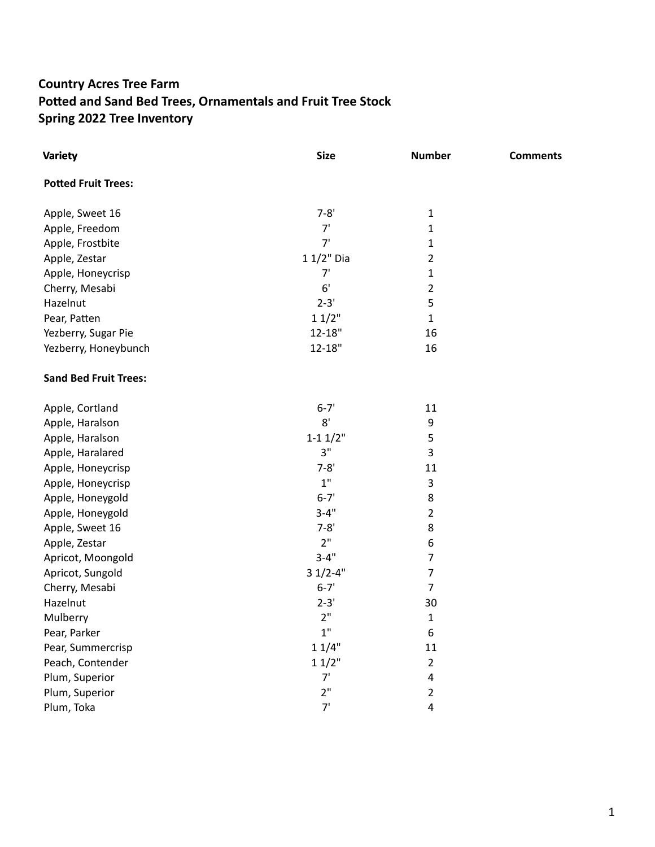## **Country Acres Tree Farm**  Potted and Sand Bed Trees, Ornamentals and Fruit Tree Stock **Spring 2022 Tree Inventory**

| <b>Variety</b>               | <b>Size</b> | <b>Number</b>            | <b>Comments</b> |
|------------------------------|-------------|--------------------------|-----------------|
| <b>Potted Fruit Trees:</b>   |             |                          |                 |
| Apple, Sweet 16              | $7 - 8'$    | $\mathbf{1}$             |                 |
| Apple, Freedom               | 7'          | $\mathbf{1}$             |                 |
| Apple, Frostbite             | 7'          | $\mathbf{1}$             |                 |
| Apple, Zestar                | 1 1/2" Dia  | $\overline{2}$           |                 |
| Apple, Honeycrisp            | 7'          | $\mathbf 1$              |                 |
| Cherry, Mesabi               | 6'          | $\overline{2}$           |                 |
| Hazelnut                     | $2 - 3'$    | 5                        |                 |
| Pear, Patten                 | 11/2"       | $\mathbf{1}$             |                 |
| Yezberry, Sugar Pie          | $12 - 18"$  | 16                       |                 |
| Yezberry, Honeybunch         | $12 - 18"$  | 16                       |                 |
| <b>Sand Bed Fruit Trees:</b> |             |                          |                 |
| Apple, Cortland              | $6 - 7'$    | 11                       |                 |
| Apple, Haralson              | 8'          | 9                        |                 |
| Apple, Haralson              | $1 - 11/2"$ | 5                        |                 |
| Apple, Haralared             | 3"          | 3                        |                 |
| Apple, Honeycrisp            | $7 - 8'$    | 11                       |                 |
| Apple, Honeycrisp            | $1"$        | 3                        |                 |
| Apple, Honeygold             | $6 - 7'$    | 8                        |                 |
| Apple, Honeygold             | $3 - 4"$    | $\overline{2}$           |                 |
| Apple, Sweet 16              | $7 - 8'$    | 8                        |                 |
| Apple, Zestar                | 2"          | 6                        |                 |
| Apricot, Moongold            | $3 - 4"$    | $\overline{\mathcal{I}}$ |                 |
| Apricot, Sungold             | $31/2 - 4"$ | $\overline{7}$           |                 |
| Cherry, Mesabi               | $6 - 7'$    | $\overline{7}$           |                 |
| Hazelnut                     | $2 - 3'$    | 30                       |                 |
| Mulberry                     | 2"          | 1                        |                 |
| Pear, Parker                 | 1"          | 6                        |                 |
| Pear, Summercrisp            | 11/4"       | 11                       |                 |
| Peach, Contender             | 11/2"       | $\overline{2}$           |                 |
| Plum, Superior               | 7'          | 4                        |                 |
| Plum, Superior               | 2"          | $\overline{2}$           |                 |
| Plum, Toka                   | 7'          | 4                        |                 |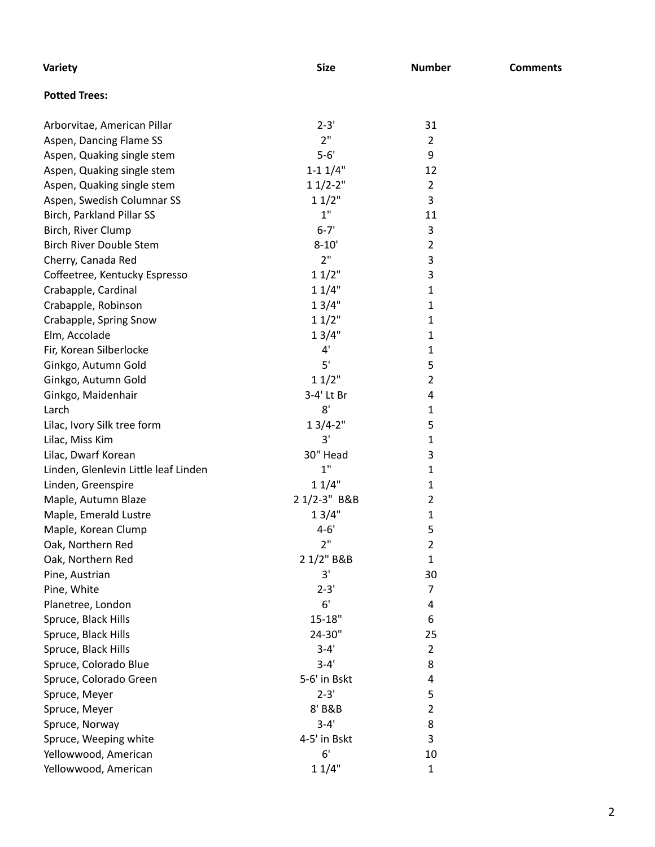| Variety                                | <b>Size</b>    | <b>Number</b>  | <b>Comments</b> |
|----------------------------------------|----------------|----------------|-----------------|
| <b>Potted Trees:</b>                   |                |                |                 |
| Arborvitae, American Pillar            | $2 - 3'$       | 31             |                 |
| Aspen, Dancing Flame SS                | 2"             | $\overline{2}$ |                 |
| Aspen, Quaking single stem             | $5-6'$         | 9              |                 |
| Aspen, Quaking single stem             | $1 - 11/4"$    | 12             |                 |
| Aspen, Quaking single stem             | $11/2-2"$      | $\overline{2}$ |                 |
| Aspen, Swedish Columnar SS             | 11/2"          | 3              |                 |
| Birch, Parkland Pillar SS              | 1"             | 11             |                 |
| Birch, River Clump                     | $6 - 7'$       | 3              |                 |
| <b>Birch River Double Stem</b>         | $8 - 10'$      | $\overline{2}$ |                 |
| Cherry, Canada Red                     | 2"             | 3              |                 |
| Coffeetree, Kentucky Espresso          | 11/2"          | 3              |                 |
| Crabapple, Cardinal                    | 11/4"          | 1              |                 |
| Crabapple, Robinson                    | 13/4"          | 1              |                 |
| Crabapple, Spring Snow                 | 11/2"          | 1              |                 |
| Elm, Accolade                          | 13/4"          | 1              |                 |
| Fir, Korean Silberlocke                | 4'             | 1              |                 |
| Ginkgo, Autumn Gold                    | 5'             | 5              |                 |
| Ginkgo, Autumn Gold                    | 11/2"          | $\overline{2}$ |                 |
| Ginkgo, Maidenhair                     | 3-4' Lt Br     | 4              |                 |
| Larch                                  | 8'             | 1              |                 |
| Lilac, Ivory Silk tree form            | $13/4 - 2"$    | 5              |                 |
| Lilac, Miss Kim                        | 3'             | 1              |                 |
| Lilac, Dwarf Korean                    | 30" Head       | 3              |                 |
| Linden, Glenlevin Little leaf Linden   | 1"             | 1              |                 |
| Linden, Greenspire                     | 11/4"          | 1              |                 |
| Maple, Autumn Blaze                    | 2 1/2-3" B&B   | 2              |                 |
| Maple, Emerald Lustre                  | 13/4"          | 1              |                 |
| Maple, Korean Clump                    | $4 - 6'$<br>2" | 5              |                 |
| Oak, Northern Red<br>Oak, Northern Red | 2 1/2" B&B     | 2              |                 |
|                                        | 3'             | 1<br>30        |                 |
| Pine, Austrian<br>Pine, White          | $2 - 3'$       | 7              |                 |
| Planetree, London                      | 6'             | 4              |                 |
| Spruce, Black Hills                    | $15 - 18"$     | 6              |                 |
| Spruce, Black Hills                    | 24-30"         | 25             |                 |
| Spruce, Black Hills                    | $3 - 4'$       | $\overline{2}$ |                 |
| Spruce, Colorado Blue                  | $3 - 4'$       | 8              |                 |
| Spruce, Colorado Green                 | 5-6' in Bskt   | 4              |                 |
| Spruce, Meyer                          | $2 - 3'$       | 5              |                 |
| Spruce, Meyer                          | 8' B&B         | 2              |                 |
| Spruce, Norway                         | $3 - 4'$       | 8              |                 |
| Spruce, Weeping white                  | 4-5' in Bskt   | 3              |                 |
| Yellowwood, American                   | 6'             | 10             |                 |
| Yellowwood, American                   | 11/4"          | 1              |                 |
|                                        |                |                |                 |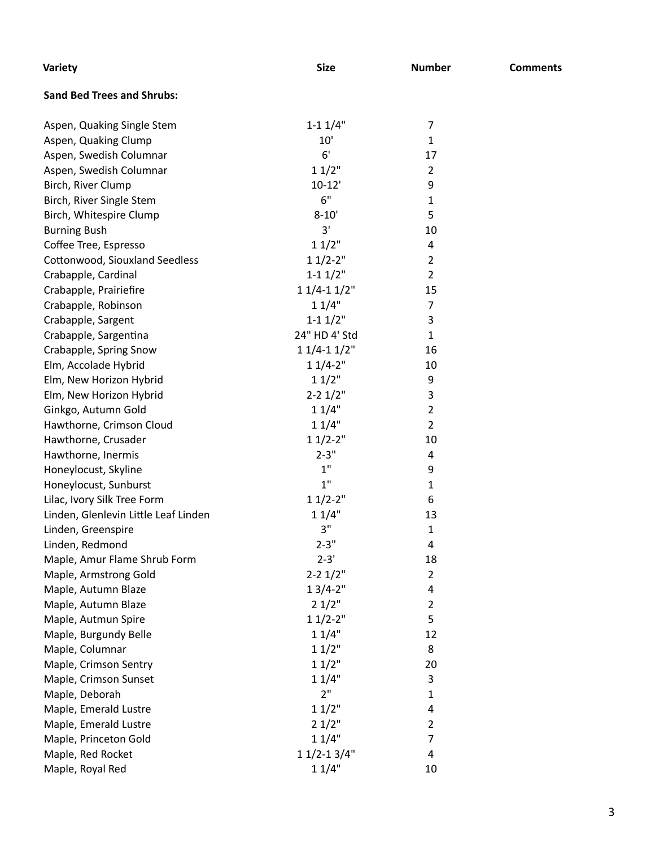| Variety                              | <b>Size</b>     | <b>Number</b>  | <b>Comments</b> |
|--------------------------------------|-----------------|----------------|-----------------|
| <b>Sand Bed Trees and Shrubs:</b>    |                 |                |                 |
| Aspen, Quaking Single Stem           | $1 - 11/4"$     | 7              |                 |
| Aspen, Quaking Clump                 | 10'             | $\mathbf{1}$   |                 |
| Aspen, Swedish Columnar              | 6'              | 17             |                 |
| Aspen, Swedish Columnar              | 11/2"           | $\overline{2}$ |                 |
| Birch, River Clump                   | $10 - 12'$      | 9              |                 |
| Birch, River Single Stem             | 6"              | 1              |                 |
| Birch, Whitespire Clump              | $8 - 10'$       | 5              |                 |
| <b>Burning Bush</b>                  | 3'              | 10             |                 |
| Coffee Tree, Espresso                | 11/2"           | 4              |                 |
| Cottonwood, Siouxland Seedless       | $11/2-2"$       | $\overline{2}$ |                 |
| Crabapple, Cardinal                  | $1 - 11/2$ "    | $\overline{2}$ |                 |
| Crabapple, Prairiefire               | $11/4-11/2"$    | 15             |                 |
| Crabapple, Robinson                  | 11/4"           | $\overline{7}$ |                 |
| Crabapple, Sargent                   | $1 - 11/2$ "    | 3              |                 |
| Crabapple, Sargentina                | 24" HD 4' Std   | $\mathbf{1}$   |                 |
| Crabapple, Spring Snow               | $11/4-11/2"$    | 16             |                 |
| Elm, Accolade Hybrid                 | $11/4-2"$       | 10             |                 |
| Elm, New Horizon Hybrid              | 11/2"           | 9              |                 |
| Elm, New Horizon Hybrid              | $2 - 2$ $1/2$ " | 3              |                 |
| Ginkgo, Autumn Gold                  | 11/4"           | $\overline{2}$ |                 |
| Hawthorne, Crimson Cloud             | 11/4"           | $\overline{2}$ |                 |
| Hawthorne, Crusader                  | $11/2-2"$       | 10             |                 |
| Hawthorne, Inermis                   | $2 - 3"$        | 4              |                 |
| Honeylocust, Skyline                 | 1"              | 9              |                 |
| Honeylocust, Sunburst                | 1"              | 1              |                 |
| Lilac, Ivory Silk Tree Form          | $11/2-2"$       | 6              |                 |
| Linden, Glenlevin Little Leaf Linden | 11/4"           | 13             |                 |
| Linden, Greenspire                   | 3"              | 1              |                 |
| Linden, Redmond                      | $2 - 3"$        | 4              |                 |
| Maple, Amur Flame Shrub Form         | $2 - 3'$        | 18             |                 |
| Maple, Armstrong Gold                | $2 - 2$ $1/2$ " | $\overline{2}$ |                 |
| Maple, Autumn Blaze                  | $13/4 - 2"$     | 4              |                 |
| Maple, Autumn Blaze                  | 21/2"           | $\overline{2}$ |                 |
| Maple, Autmun Spire                  | $11/2-2"$       | 5              |                 |
| Maple, Burgundy Belle                | 11/4"           | 12             |                 |
| Maple, Columnar                      | 11/2"           | 8              |                 |
| Maple, Crimson Sentry                | 11/2"           | 20             |                 |
| Maple, Crimson Sunset                | 11/4"           | 3              |                 |
| Maple, Deborah                       | 2"              | 1              |                 |
| Maple, Emerald Lustre                | 11/2"           | 4              |                 |
| Maple, Emerald Lustre                | 21/2"           | $\overline{2}$ |                 |
| Maple, Princeton Gold                | 11/4"           | 7              |                 |
| Maple, Red Rocket                    | $11/2 - 13/4"$  | 4              |                 |
| Maple, Royal Red                     | 11/4"           | 10             |                 |